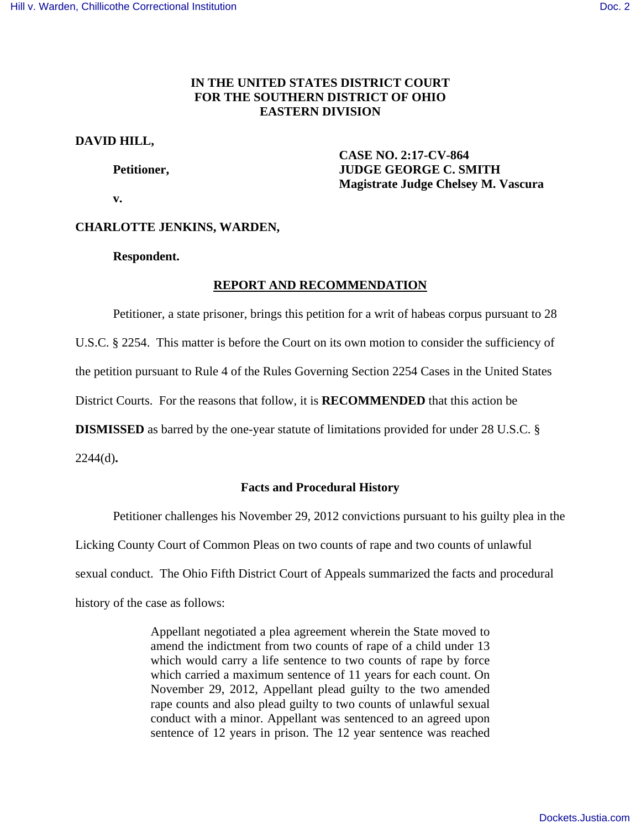## **IN THE UNITED STATES DISTRICT COURT FOR THE SOUTHERN DISTRICT OF OHIO EASTERN DIVISION**

## **DAVID HILL,**

 **CASE NO. 2:17-CV-864 Petitioner, JUDGE GEORGE C. SMITH Magistrate Judge Chelsey M. Vascura** 

 **v.** 

# **CHARLOTTE JENKINS, WARDEN,**

 **Respondent.** 

## **REPORT AND RECOMMENDATION**

 Petitioner, a state prisoner, brings this petition for a writ of habeas corpus pursuant to 28 U.S.C. § 2254. This matter is before the Court on its own motion to consider the sufficiency of

the petition pursuant to Rule 4 of the Rules Governing Section 2254 Cases in the United States

District Courts. For the reasons that follow, it is **RECOMMENDED** that this action be

**DISMISSED** as barred by the one-year statute of limitations provided for under 28 U.S.C. §

2244(d)**.** 

## **Facts and Procedural History**

Petitioner challenges his November 29, 2012 convictions pursuant to his guilty plea in the

Licking County Court of Common Pleas on two counts of rape and two counts of unlawful

sexual conduct. The Ohio Fifth District Court of Appeals summarized the facts and procedural

history of the case as follows:

Appellant negotiated a plea agreement wherein the State moved to amend the indictment from two counts of rape of a child under 13 which would carry a life sentence to two counts of rape by force which carried a maximum sentence of 11 years for each count. On November 29, 2012, Appellant plead guilty to the two amended rape counts and also plead guilty to two counts of unlawful sexual conduct with a minor. Appellant was sentenced to an agreed upon sentence of 12 years in prison. The 12 year sentence was reached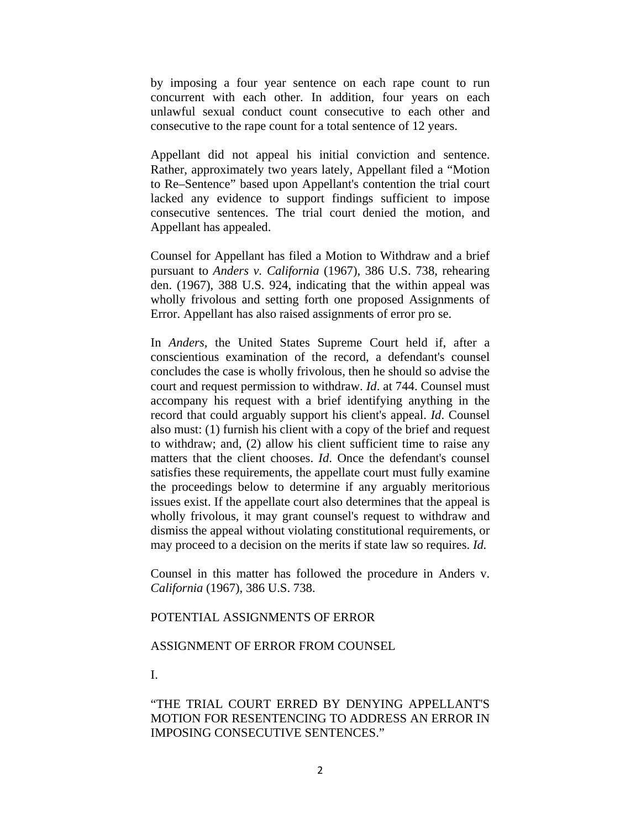by imposing a four year sentence on each rape count to run concurrent with each other. In addition, four years on each unlawful sexual conduct count consecutive to each other and consecutive to the rape count for a total sentence of 12 years.

Appellant did not appeal his initial conviction and sentence. Rather, approximately two years lately, Appellant filed a "Motion to Re–Sentence" based upon Appellant's contention the trial court lacked any evidence to support findings sufficient to impose consecutive sentences. The trial court denied the motion, and Appellant has appealed.

Counsel for Appellant has filed a Motion to Withdraw and a brief pursuant to *Anders v. California* (1967), 386 U.S. 738, rehearing den. (1967), 388 U.S. 924, indicating that the within appeal was wholly frivolous and setting forth one proposed Assignments of Error. Appellant has also raised assignments of error pro se.

In *Anders,* the United States Supreme Court held if, after a conscientious examination of the record, a defendant's counsel concludes the case is wholly frivolous, then he should so advise the court and request permission to withdraw. *Id*. at 744. Counsel must accompany his request with a brief identifying anything in the record that could arguably support his client's appeal. *Id*. Counsel also must: (1) furnish his client with a copy of the brief and request to withdraw; and, (2) allow his client sufficient time to raise any matters that the client chooses. *Id*. Once the defendant's counsel satisfies these requirements, the appellate court must fully examine the proceedings below to determine if any arguably meritorious issues exist. If the appellate court also determines that the appeal is wholly frivolous, it may grant counsel's request to withdraw and dismiss the appeal without violating constitutional requirements, or may proceed to a decision on the merits if state law so requires. *Id.* 

Counsel in this matter has followed the procedure in Anders v. *California* (1967), 386 U.S. 738.

#### POTENTIAL ASSIGNMENTS OF ERROR

### ASSIGNMENT OF ERROR FROM COUNSEL

I.

"THE TRIAL COURT ERRED BY DENYING APPELLANT'S MOTION FOR RESENTENCING TO ADDRESS AN ERROR IN IMPOSING CONSECUTIVE SENTENCES."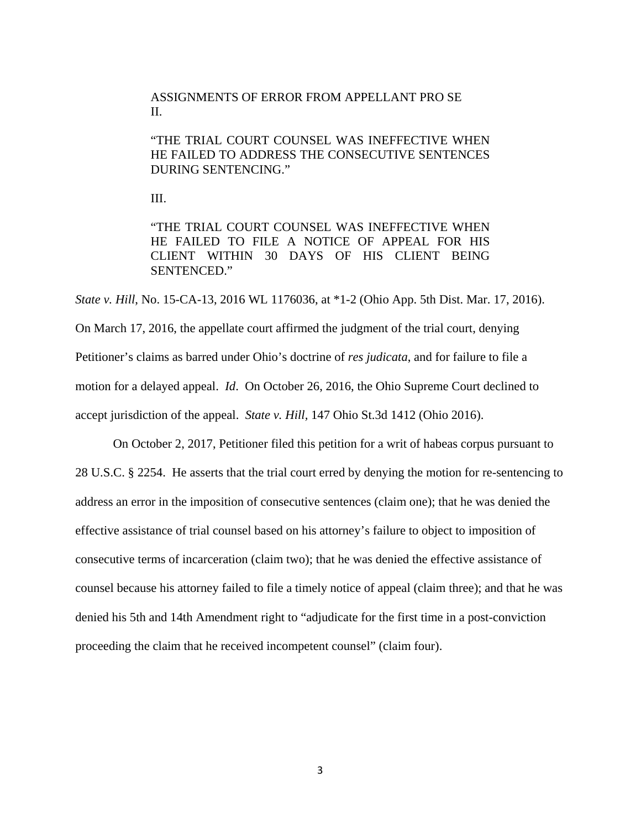## ASSIGNMENTS OF ERROR FROM APPELLANT PRO SE II.

"THE TRIAL COURT COUNSEL WAS INEFFECTIVE WHEN HE FAILED TO ADDRESS THE CONSECUTIVE SENTENCES DURING SENTENCING."

III.

"THE TRIAL COURT COUNSEL WAS INEFFECTIVE WHEN HE FAILED TO FILE A NOTICE OF APPEAL FOR HIS CLIENT WITHIN 30 DAYS OF HIS CLIENT BEING SENTENCED."

*State v. Hill*, No. 15-CA-13, 2016 WL 1176036, at \*1-2 (Ohio App. 5th Dist. Mar. 17, 2016). On March 17, 2016, the appellate court affirmed the judgment of the trial court, denying Petitioner's claims as barred under Ohio's doctrine of *res judicata*, and for failure to file a motion for a delayed appeal. *Id*. On October 26, 2016, the Ohio Supreme Court declined to accept jurisdiction of the appeal. *State v. Hill,* 147 Ohio St.3d 1412 (Ohio 2016).

 On October 2, 2017, Petitioner filed this petition for a writ of habeas corpus pursuant to 28 U.S.C. § 2254. He asserts that the trial court erred by denying the motion for re-sentencing to address an error in the imposition of consecutive sentences (claim one); that he was denied the effective assistance of trial counsel based on his attorney's failure to object to imposition of consecutive terms of incarceration (claim two); that he was denied the effective assistance of counsel because his attorney failed to file a timely notice of appeal (claim three); and that he was denied his 5th and 14th Amendment right to "adjudicate for the first time in a post-conviction proceeding the claim that he received incompetent counsel" (claim four).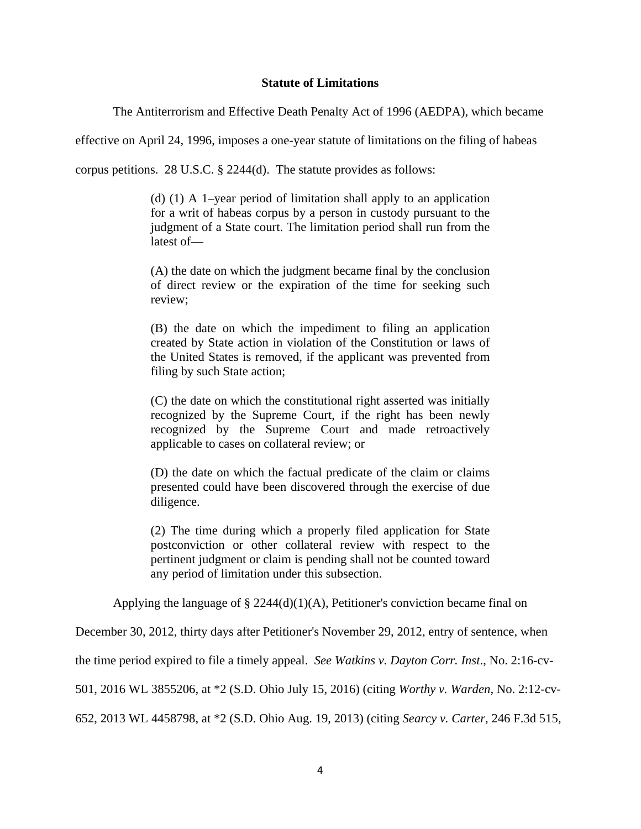### **Statute of Limitations**

The Antiterrorism and Effective Death Penalty Act of 1996 (AEDPA), which became

effective on April 24, 1996, imposes a one-year statute of limitations on the filing of habeas

corpus petitions. 28 U.S.C. § 2244(d). The statute provides as follows:

(d) (1) A 1–year period of limitation shall apply to an application for a writ of habeas corpus by a person in custody pursuant to the judgment of a State court. The limitation period shall run from the latest of—

(A) the date on which the judgment became final by the conclusion of direct review or the expiration of the time for seeking such review;

(B) the date on which the impediment to filing an application created by State action in violation of the Constitution or laws of the United States is removed, if the applicant was prevented from filing by such State action;

(C) the date on which the constitutional right asserted was initially recognized by the Supreme Court, if the right has been newly recognized by the Supreme Court and made retroactively applicable to cases on collateral review; or

(D) the date on which the factual predicate of the claim or claims presented could have been discovered through the exercise of due diligence.

(2) The time during which a properly filed application for State postconviction or other collateral review with respect to the pertinent judgment or claim is pending shall not be counted toward any period of limitation under this subsection.

Applying the language of  $\S 2244(d)(1)(A)$ , Petitioner's conviction became final on

December 30, 2012, thirty days after Petitioner's November 29, 2012, entry of sentence, when

the time period expired to file a timely appeal. *See Watkins v. Dayton Corr. Inst*., No. 2:16-cv-

501, 2016 WL 3855206, at \*2 (S.D. Ohio July 15, 2016) (citing *Worthy v. Warden*, No. 2:12-cv-

652, 2013 WL 4458798, at \*2 (S.D. Ohio Aug. 19, 2013) (citing *Searcy v. Carter*, 246 F.3d 515,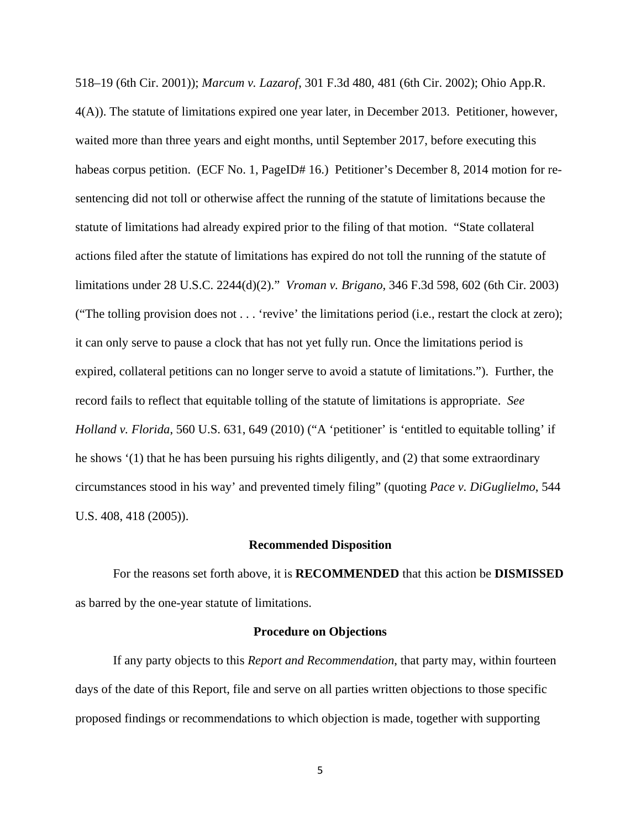518–19 (6th Cir. 2001)); *Marcum v. Lazarof*, 301 F.3d 480, 481 (6th Cir. 2002); Ohio App.R. 4(A)). The statute of limitations expired one year later, in December 2013. Petitioner, however, waited more than three years and eight months, until September 2017, before executing this habeas corpus petition. (ECF No. 1, PageID# 16.) Petitioner's December 8, 2014 motion for resentencing did not toll or otherwise affect the running of the statute of limitations because the statute of limitations had already expired prior to the filing of that motion. "State collateral actions filed after the statute of limitations has expired do not toll the running of the statute of limitations under 28 U.S.C. 2244(d)(2)." *Vroman v. Brigano*, 346 F.3d 598, 602 (6th Cir. 2003) ("The tolling provision does not . . . 'revive' the limitations period (i.e., restart the clock at zero); it can only serve to pause a clock that has not yet fully run. Once the limitations period is expired, collateral petitions can no longer serve to avoid a statute of limitations."). Further, the record fails to reflect that equitable tolling of the statute of limitations is appropriate. *See Holland v. Florida*, 560 U.S. 631, 649 (2010) ("A 'petitioner' is 'entitled to equitable tolling' if he shows '(1) that he has been pursuing his rights diligently, and (2) that some extraordinary circumstances stood in his way' and prevented timely filing" (quoting *Pace v. DiGuglielmo*, 544 U.S. 408, 418 (2005)).

## **Recommended Disposition**

For the reasons set forth above, it is **RECOMMENDED** that this action be **DISMISSED** as barred by the one-year statute of limitations.

#### **Procedure on Objections**

If any party objects to this *Report and Recommendation*, that party may, within fourteen days of the date of this Report, file and serve on all parties written objections to those specific proposed findings or recommendations to which objection is made, together with supporting